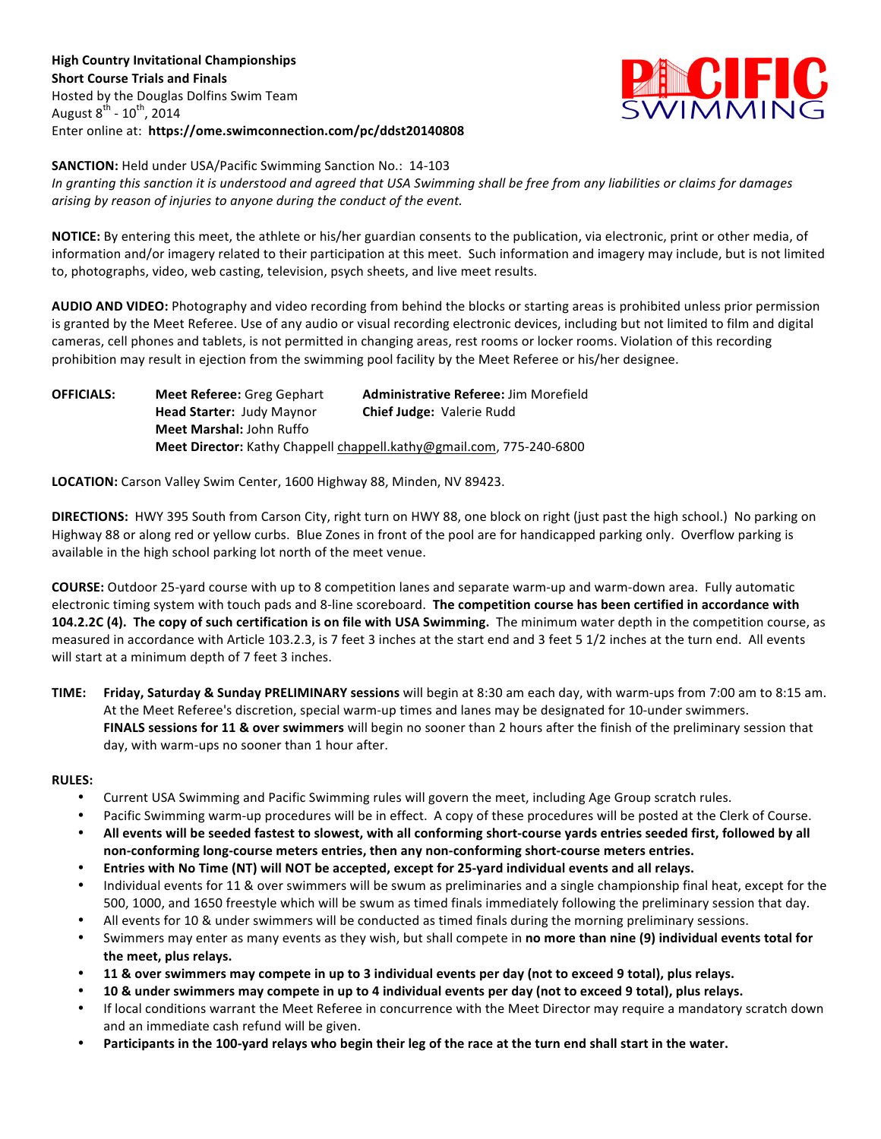

**SANCTION:** Held under USA/Pacific Swimming Sanction No.: 14-103 *In granting this sanction it is understood and agreed that USA Swimming shall be free from any liabilities or claims for damages* arising by reason of injuries to anyone during the conduct of the event.

NOTICE: By entering this meet, the athlete or his/her guardian consents to the publication, via electronic, print or other media, of information and/or imagery related to their participation at this meet. Such information and imagery may include, but is not limited to, photographs, video, web casting, television, psych sheets, and live meet results.

AUDIO AND VIDEO: Photography and video recording from behind the blocks or starting areas is prohibited unless prior permission is granted by the Meet Referee. Use of any audio or visual recording electronic devices, including but not limited to film and digital cameras, cell phones and tablets, is not permitted in changing areas, rest rooms or locker rooms. Violation of this recording prohibition'may result in ejection from the swimming pool facility by the Meet Referee or his/her designee.

**OFFICIALS: Meet%Referee:** Greg'Gephart **Administrative%Referee:** Jim'Morefield Head Starter: Judy Maynor **Chief Judge:** Valerie Rudd **Meet Marshal: John Ruffo Meet Director:** Kathy Chappell chappell.kathy@gmail.com, 775-240-6800

LOCATION: Carson Valley Swim Center, 1600 Highway 88, Minden, NV 89423.

**DIRECTIONS:** HWY 395 South from Carson City, right turn on HWY 88, one block on right (just past the high school.) No parking on Highway 88 or along red or yellow curbs. Blue Zones in front of the pool are for handicapped parking only. Overflow parking is available in the high school parking lot north of the meet venue.

**COURSE:** Outdoor 25-yard course with up to 8 competition lanes and separate warm-up and warm-down area. Fully automatic electronic timing system with touch pads and 8-line scoreboard. The competition course has been certified in accordance with **104.2.2C (4). The copy of such certification is on file with USA Swimming.** The minimum water depth in the competition course, as measured in accordance with Article 103.2.3, is 7 feet 3 inches at the start end and 3 feet 5 1/2 inches at the turn end. All events will start at a minimum depth of 7 feet 3 inches.

**TIME:** Friday, Saturday & Sunday PRELIMINARY sessions will begin at 8:30 am each day, with warm-ups from 7:00 am to 8:15 am. At the Meet Referee's discretion, special warm-up times and lanes may be designated for 10-under swimmers. FINALS sessions for 11 & over swimmers will begin no sooner than 2 hours after the finish of the preliminary session that day, with warm-ups no sooner than 1 hour after.

## **RULES:**

- Current USA Swimming and Pacific Swimming rules will govern the meet, including Age Group scratch rules.
- Pacific Swimming warm-up procedures will be in effect. A copy of these procedures will be posted at the Clerk of Course.
- All events will be seeded fastest to slowest, with all conforming short-course yards entries seeded first, followed by all non-conforming long-course meters entries, then any non-conforming short-course meters entries.
- Entries with No Time (NT) will NOT be accepted, except for 25-yard individual events and all relays.
- Individual events for 11 & over swimmers will be swum as preliminaries and a single championship final heat, except for the 500, 1000, and 1650 freestyle which will be swum as timed finals immediately following the preliminary session that day.
- All events for 10 & under swimmers will be conducted as timed finals during the morning preliminary sessions.
- Swimmers may enter as many events as they wish, but shall compete in no more than nine (9) individual events total for the meet, plus relays.
- 11 & over swimmers may compete in up to 3 individual events per day (not to exceed 9 total), plus relays.
- 10 & under swimmers may compete in up to 4 individual events per day (not to exceed 9 total), plus relays.
- If local conditions warrant the Meet Referee in concurrence with the Meet Director may require a mandatory scratch down and an immediate cash refund will be given.
- Participants in the 100-yard relays who begin their leg of the race at the turn end shall start in the water.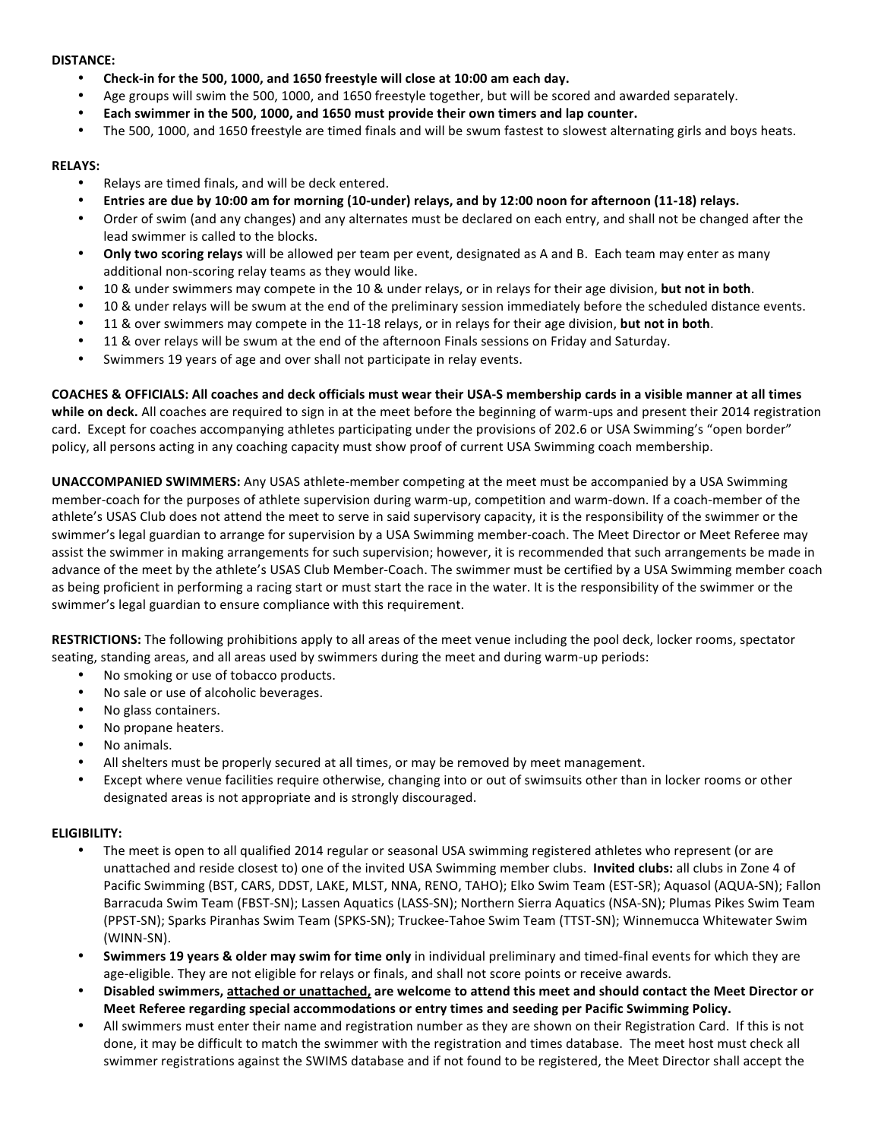#### **DISTANCE:**

- Check-in for the 500, 1000, and 1650 freestyle will close at 10:00 am each day.
- Age groups will swim the 500, 1000, and 1650 freestyle together, but will be scored and awarded separately.
- Each swimmer in the 500, 1000, and 1650 must provide their own timers and lap counter.
- The 500, 1000, and 1650 freestyle are timed finals and will be swum fastest to slowest alternating girls and boys heats.

## **RELAYS:**

- Relays are timed finals, and will be deck entered.
- Entries are due by 10:00 am for morning (10-under) relays, and by 12:00 noon for afternoon (11-18) relays.
- Order of swim (and any changes) and any alternates must be declared on each entry, and shall not be changed after the lead swimmer is called to the blocks.
- **Only two scoring relays** will be allowed per team per event, designated as A and B. Each team may enter as many additional non-scoring relay teams as they would like.
- 10 & under swimmers may compete in the 10 & under relays, or in relays for their age division, **but not in both**.
- 10 & under relays will be swum at the end of the preliminary session immediately before the scheduled distance events.
- 11 & over swimmers may compete in the 11-18 relays, or in relays for their age division, **but not in both**.
- 11 & over relays will be swum at the end of the afternoon Finals sessions on Friday and Saturday.
- Swimmers 19 years of age and over shall not participate in relay events.

COACHES & OFFICIALS: All coaches and deck officials must wear their USA-S membership cards in a visible manner at all times while on deck. All coaches are required to sign in at the meet before the beginning of warm-ups and present their 2014 registration card. Except for coaches accompanying athletes participating under the provisions of 202.6 or USA Swimming's "open border" policy, all persons acting in any coaching capacity must show proof of current USA Swimming coach membership.

**UNACCOMPANIED SWIMMERS:** Any USAS athlete-member competing at the meet must be accompanied by a USA Swimming member-coach for the purposes of athlete supervision during warm-up, competition and warm-down. If a coach-member of the athlete's USAS Club does not attend the meet to serve in said supervisory capacity, it is the responsibility of the swimmer or the swimmer's legal guardian to arrange for supervision by a USA Swimming member-coach. The Meet Director or Meet Referee may assist the swimmer in making arrangements for such supervision; however, it is recommended that such arrangements be made in advance of the meet by the athlete's USAS Club Member-Coach. The swimmer must be certified by a USA Swimming member coach as being proficient in performing a racing start or must start the race in the water. It is the responsibility of the swimmer or the swimmer's legal guardian to ensure compliance with this requirement.

RESTRICTIONS: The following prohibitions apply to all areas of the meet venue including the pool deck, locker rooms, spectator seating, standing areas, and all areas used by swimmers during the meet and during warm-up periods:

- No smoking or use of tobacco products.
- No sale or use of alcoholic beverages.
- No glass containers.
- No propane heaters.
- No animals.
- All shelters must be properly secured at all times, or may be removed by meet management.
- Except where venue facilities require otherwise, changing into or out of swimsuits other than in locker rooms or other designated areas is not appropriate and is strongly discouraged.

## **ELIGIBILITY:**

- The meet is open to all qualified 2014 regular or seasonal USA swimming registered athletes who represent (or are unattached and reside closest to) one of the invited USA Swimming member clubs. Invited clubs: all clubs in Zone 4 of Pacific Swimming (BST, CARS, DDST, LAKE, MLST, NNA, RENO, TAHO); Elko Swim Team (EST-SR); Aquasol (AQUA-SN); Fallon Barracuda Swim Team (FBST-SN); Lassen Aquatics (LASS-SN); Northern Sierra Aquatics (NSA-SN); Plumas Pikes Swim Team (PPST-SN); Sparks Piranhas Swim Team (SPKS-SN); Truckee-Tahoe Swim Team (TTST-SN); Winnemucca Whitewater Swim (WINN-SN).
- **Swimmers 19 years & older may swim for time only** in individual preliminary and timed-final events for which they are age-eligible. They are not eligible for relays or finals, and shall not score points or receive awards.
- **Disabled swimmers, attached or unattached, are welcome to attend this meet and should contact the Meet Director or** Meet Referee regarding special accommodations or entry times and seeding per Pacific Swimming Policy.
- All swimmers must enter their name and registration number as they are shown on their Registration Card. If this is not done, it may be difficult to match the swimmer with the registration and times database. The meet host must check all swimmer registrations against the SWIMS database and if not found to be registered, the Meet Director shall accept the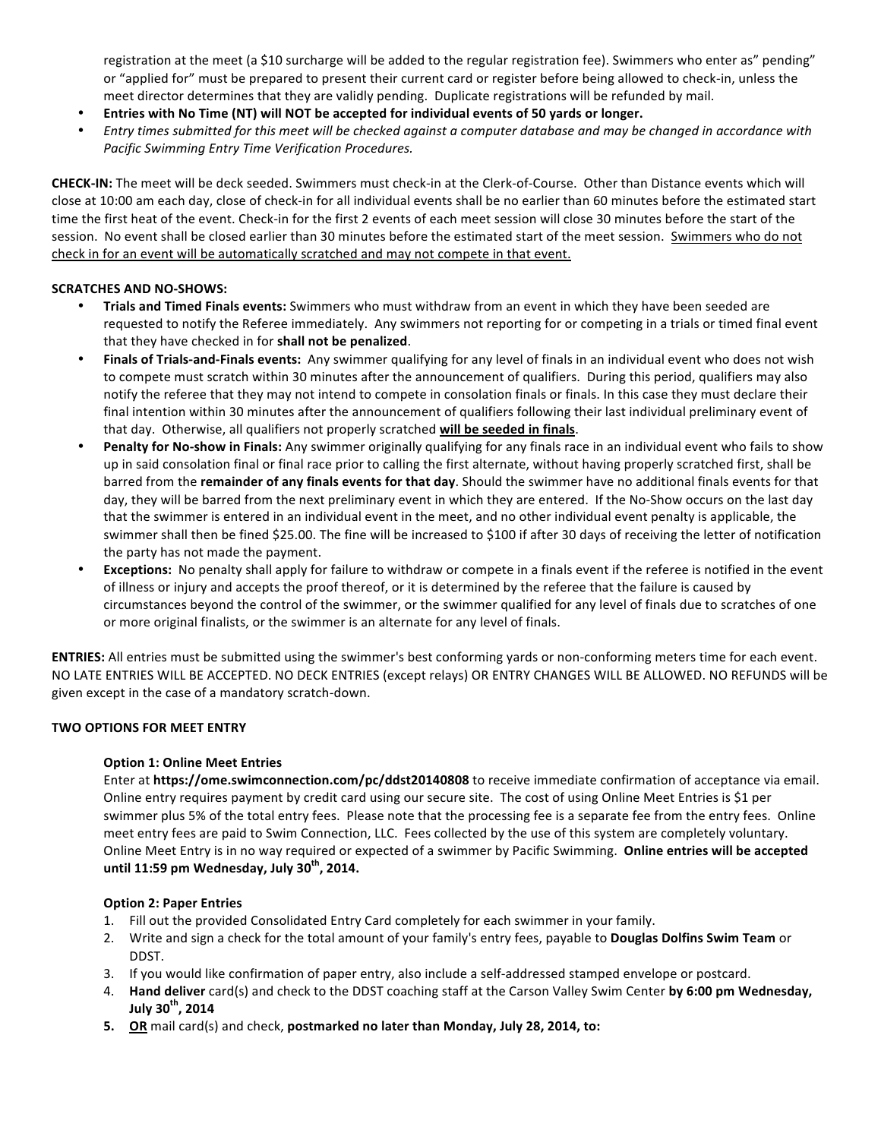registration at the meet (a \$10 surcharge will be added to the regular registration fee). Swimmers who enter as" pending" or "applied for" must be prepared to present their current card or register before being allowed to check-in, unless the meet director determines that they are validly pending. Duplicate registrations will be refunded by mail.

- **Entries with No Time (NT) will NOT be accepted for individual events of 50 yards or longer.**
- Entry times submitted for this meet will be checked against a computer database and may be changed in accordance with *Pacific Swimming Entry Time Verification Procedures.*

CHECK-IN: The meet will be deck seeded. Swimmers must check-in at the Clerk-of-Course. Other than Distance events which will close at 10:00 am each day, close of check-in for all individual events shall be no earlier than 60 minutes before the estimated start time the first heat of the event. Check-in for the first 2 events of each meet session will close 30 minutes before the start of the session. No event shall be closed earlier than 30 minutes before the estimated start of the meet session. Swimmers who do not check in for an event will be automatically scratched and may not compete in that event.

# **SCRATCHES AND NO-SHOWS:**

- **Trials and Timed Finals events:** Swimmers who must withdraw from an event in which they have been seeded are requested to notify the Referee immediately. Any swimmers not reporting for or competing in a trials or timed final event that they have checked in for shall not be penalized.
- Finals of Trials-and-Finals events: Any swimmer qualifying for any level of finals in an individual event who does not wish to compete must scratch within 30 minutes after the announcement of qualifiers. During this period, qualifiers may also notify the referee that they may not intend to compete in consolation finals or finals. In this case they must declare their final intention within 30 minutes after the announcement of qualifiers following their last individual preliminary event of that day. Otherwise, all qualifiers not properly scratched will be seeded in finals.
- **Penalty for No-show in Finals:** Any swimmer originally qualifying for any finals race in an individual event who fails to show up in said consolation final or final race prior to calling the first alternate, without having properly scratched first, shall be barred from the *remainder of any finals events for that day*. Should the swimmer have no additional finals events for that day, they will be barred from the next preliminary event in which they are entered. If the No-Show occurs on the last day that the swimmer is entered in an individual event in the meet, and no other individual event penalty is applicable, the swimmer shall then be fined \$25.00. The fine will be increased to \$100 if after 30 days of receiving the letter of notification the party has not made the payment.
- Exceptions: No penalty shall apply for failure to withdraw or compete in a finals event if the referee is notified in the event of illness or injury and accepts the proof thereof, or it is determined by the referee that the failure is caused by circumstances beyond the control of the swimmer, or the swimmer qualified for any level of finals due to scratches of one or more original finalists, or the swimmer is an alternate for any level of finals.

ENTRIES: All entries must be submitted using the swimmer's best conforming yards or non-conforming meters time for each event. NO LATE ENTRIES WILL BE ACCEPTED. NO DECK ENTRIES (except relays) OR ENTRY CHANGES WILL BE ALLOWED. NO REFUNDS will be given except in the case of a mandatory scratch-down.

## **TWO OPTIONS FOR MEET ENTRY**

## **Option 1: Online Meet Entries**

Enter at https://ome.swimconnection.com/pc/ddst20140808 to receive immediate confirmation of acceptance via email. Online entry requires payment by credit card using our secure site. The cost of using Online Meet Entries is \$1 per swimmer plus 5% of the total entry fees. Please note that the processing fee is a separate fee from the entry fees. Online meet entry fees are paid to Swim Connection, LLC. Fees collected by the use of this system are completely voluntary. Online Meet Entry is in no way required or expected of a swimmer by Pacific Swimming. Online entries will be accepted **until%11:59%pm%Wednesday,%July%30th,%2014.**

## **Option 2: Paper Entries**

- 1. Fill out the provided Consolidated Entry Card completely for each swimmer in your family.
- 2. Write and sign a check for the total amount of your family's entry fees, payable to **Douglas Dolfins Swim Team** or DDST.
- 3. If you would like confirmation of paper entry, also include a self-addressed stamped envelope or postcard.
- 4. **Hand deliver** card(s) and check to the DDST coaching staff at the Carson Valley Swim Center by 6:00 pm Wednesday, **July%30th,%2014**
- **5. OR** mail card(s) and check, postmarked no later than Monday, July 28, 2014, to: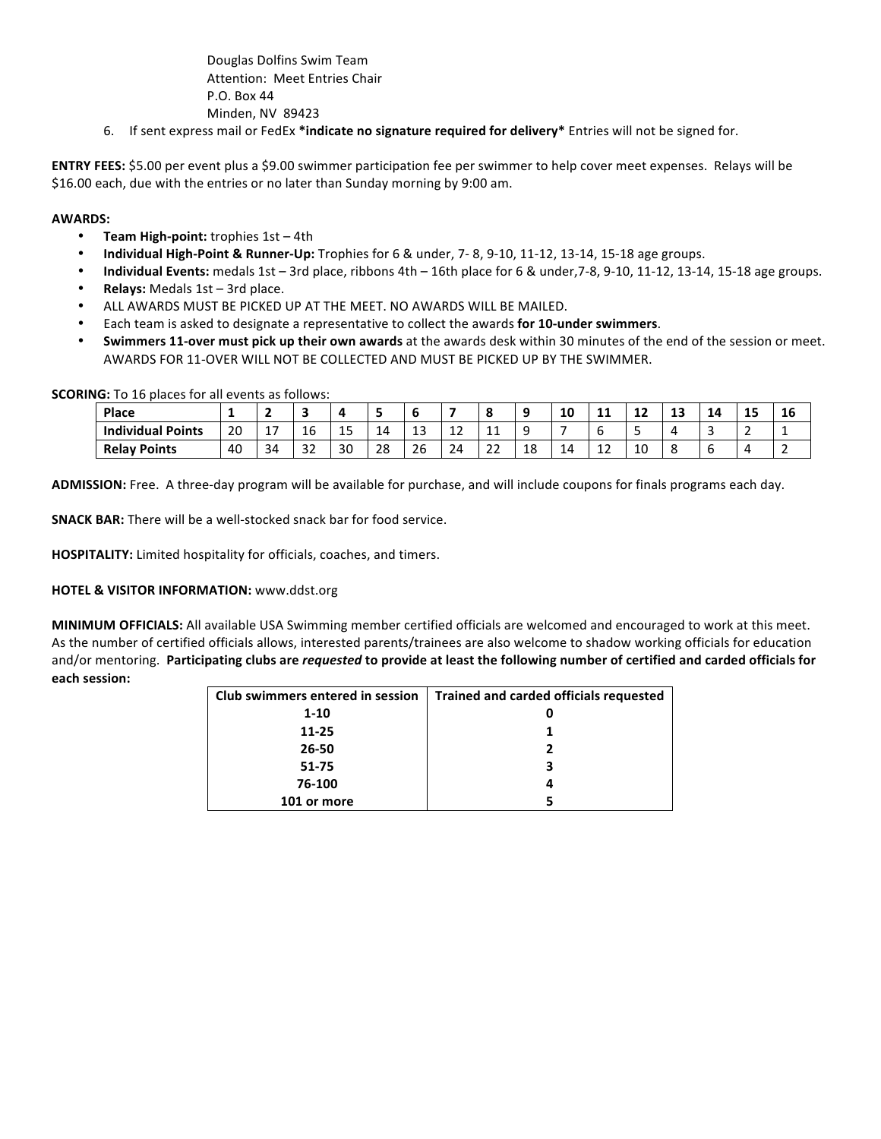Douglas Dolfins Swim Team Attention: Meet Entries Chair P.O. Box 44 Minden, NV 89423

6. If sent express mail or FedEx \*indicate no signature required for delivery\* Entries will not be signed for.

**ENTRY FEES:** \$5.00 per event plus a \$9.00 swimmer participation fee per swimmer to help cover meet expenses. Relays will be \$16.00 each, due with the entries or no later than Sunday morning by 9:00 am.

#### **AWARDS:**

- **Team High-point:** trophies  $1st 4th$
- Individual High-Point & Runner-Up: Trophies for 6 & under, 7-8, 9-10, 11-12, 13-14, 15-18 age groups.
- **Individual Events:** medals 1st 3rd place, ribbons 4th 16th place for 6 & under,7-8, 9-10, 11-12, 13-14, 15-18 age groups. **Relays: Medals 1st – 3rd place.**
- ALL AWARDS MUST BE PICKED UP AT THE MEET. NO AWARDS WILL BE MAILED.
- Each team is asked to designate a representative to collect the awards for 10-under swimmers.
- Swimmers 11-over must pick up their own awards at the awards desk within 30 minutes of the end of the session or meet. AWARDS FOR 11-OVER WILL NOT BE COLLECTED AND MUST BE PICKED UP BY THE SWIMMER.

**SCORING:** To 16 places for all events as follows:

| Place                    | -  |                   |              |    |    |        |                                |              |    | 10 | . . | . .<br>-- | -1.3<br>-- | 14     | 15 | 16       |
|--------------------------|----|-------------------|--------------|----|----|--------|--------------------------------|--------------|----|----|-----|-----------|------------|--------|----|----------|
| <b>Individual Points</b> | 20 | . –<br><b>. .</b> | 16           | 15 | 14 | ີ<br>ᅩ | $\overline{\phantom{a}}$<br>-- | <b>__</b>    |    |    | b   | ັ         |            | -<br>٠ | -  | <b>.</b> |
| <b>Relay Points</b>      | 40 | 34                | $\sim$<br>ےر | 30 | 28 | 26     | 24<br>∸                        | $\sim$<br>∠∠ | 18 | -- | ᆠ   | 10        |            | ь      |    |          |

ADMISSION: Free. A three-day program will be available for purchase, and will include coupons for finals programs each day.

**SNACK BAR:** There will be a well-stocked snack bar for food service.

HOSPITALITY: Limited hospitality for officials, coaches, and timers.

#### **HOTEL & VISITOR INFORMATION:** www.ddst.org

**MINIMUM OFFICIALS:** All available USA Swimming member certified officials are welcomed and encouraged to work at this meet. As the number of certified officials allows, interested parents/trainees are also welcome to shadow working officials for education and/or mentoring. Participating clubs are *requested* to provide at least the following number of certified and carded officials for **each session:** 

| Club swimmers entered in session | <b>Trained and carded officials requested</b> |
|----------------------------------|-----------------------------------------------|
| $1 - 10$                         |                                               |
| $11 - 25$                        |                                               |
| 26-50                            |                                               |
| 51-75                            |                                               |
| 76-100                           |                                               |
| 101 or more                      |                                               |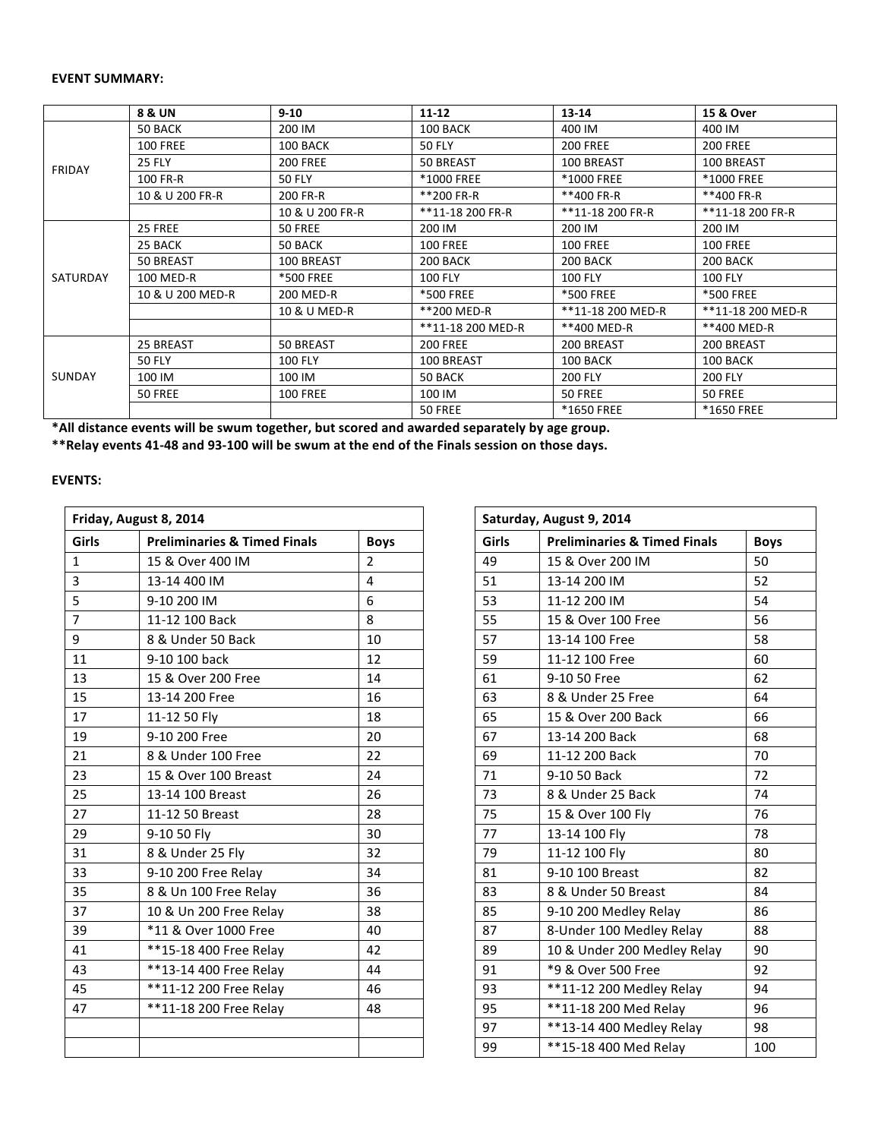# **EVENT SUMMARY:**

|               | <b>8 &amp; UN</b> | $9 - 10$         | $11 - 12$         | $13 - 14$         | 15 & Over         |  |
|---------------|-------------------|------------------|-------------------|-------------------|-------------------|--|
|               | 50 BACK           | 200 IM           | 100 BACK          | 400 IM            | 400 IM            |  |
| <b>FRIDAY</b> | <b>100 FREE</b>   | 100 BACK         | <b>50 FLY</b>     | <b>200 FREE</b>   | <b>200 FREE</b>   |  |
|               | <b>25 FLY</b>     | <b>200 FREE</b>  | 50 BREAST         | 100 BREAST        | 100 BREAST        |  |
|               | 100 FR-R          | <b>50 FLY</b>    | *1000 FREE        | <b>*1000 FREE</b> | <b>*1000 FREE</b> |  |
|               | 10 & U 200 FR-R   | 200 FR-R         | **200 FR-R        | **400 FR-R        | **400 FR-R        |  |
|               |                   | 10 & U 200 FR-R  | **11-18 200 FR-R  | **11-18 200 FR-R  | **11-18 200 FR-R  |  |
|               | 25 FREE           | 50 FREE          | 200 IM            | 200 IM            | 200 IM            |  |
|               | 25 BACK           | 50 BACK          | <b>100 FREE</b>   | <b>100 FREE</b>   | <b>100 FREE</b>   |  |
|               | 50 BREAST         | 100 BREAST       | 200 BACK          | 200 BACK          | 200 BACK          |  |
| SATURDAY      | 100 MED-R         | <b>*500 FREE</b> | <b>100 FLY</b>    | <b>100 FLY</b>    | <b>100 FLY</b>    |  |
|               | 10 & U 200 MED-R  | 200 MED-R        | *500 FREE         | <b>*500 FREE</b>  | <b>*500 FREE</b>  |  |
|               |                   | 10 & U MED-R     | **200 MED-R       | **11-18 200 MED-R | **11-18 200 MED-R |  |
|               |                   |                  | **11-18 200 MED-R | **400 MED-R       | **400 MED-R       |  |
|               | 25 BREAST         | 50 BREAST        | <b>200 FREE</b>   | 200 BREAST        | 200 BREAST        |  |
|               | <b>50 FLY</b>     | <b>100 FLY</b>   | 100 BREAST        | 100 BACK          | 100 BACK          |  |
| <b>SUNDAY</b> | 100 IM            | 100 IM           | 50 BACK           | <b>200 FLY</b>    | <b>200 FLY</b>    |  |
|               | 50 FREE           | <b>100 FREE</b>  | 100 IM            | 50 FREE           | 50 FREE           |  |
|               |                   |                  | 50 FREE           | *1650 FREE        | <b>*1650 FREE</b> |  |

\*All distance events will be swum together, but scored and awarded separately by age group.

\*\*Relay events 41-48 and 93-100 will be swum at the end of the Finals session on those days.

# **EVENTS:**

| Friday, August 8, 2014 |                                         |                |  |       | Saturday, August 9, 2014                |             |
|------------------------|-----------------------------------------|----------------|--|-------|-----------------------------------------|-------------|
| <b>Girls</b>           | <b>Preliminaries &amp; Timed Finals</b> | <b>Boys</b>    |  | Girls | <b>Preliminaries &amp; Timed Finals</b> | <b>Boys</b> |
| $\mathbf{1}$           | 15 & Over 400 IM                        | $\overline{2}$ |  | 49    | 15 & Over 200 IM                        | 50          |
| 3                      | 13-14 400 IM                            | $\overline{4}$ |  | 51    | 13-14 200 IM                            | 52          |
| 5                      | 9-10 200 IM                             | 6              |  | 53    | 11-12 200 IM                            | 54          |
| $\overline{7}$         | 11-12 100 Back                          | 8              |  | 55    | 15 & Over 100 Free                      | 56          |
| 9                      | 8 & Under 50 Back                       | 10             |  | 57    | 13-14 100 Free                          | 58          |
| 11                     | 9-10 100 back                           | 12             |  | 59    | 11-12 100 Free                          | 60          |
| 13                     | 15 & Over 200 Free                      | 14             |  | 61    | 9-10 50 Free                            | 62          |
| 15                     | 13-14 200 Free                          | 16             |  | 63    | 8 & Under 25 Free                       | 64          |
| 17                     | 11-12 50 Fly                            | 18             |  | 65    | 15 & Over 200 Back                      | 66          |
| 19                     | 9-10 200 Free                           | 20             |  | 67    | 13-14 200 Back                          | 68          |
| 21                     | 8 & Under 100 Free                      | 22             |  | 69    | 11-12 200 Back                          | 70          |
| 23                     | 15 & Over 100 Breast                    | 24             |  | 71    | 9-10 50 Back                            | 72          |
| 25                     | 13-14 100 Breast                        | 26             |  | 73    | 8 & Under 25 Back                       | 74          |
| 27                     | 11-12 50 Breast                         | 28             |  | 75    | 15 & Over 100 Fly                       | 76          |
| 29                     | 9-10 50 Fly                             | 30             |  | 77    | 13-14 100 Fly                           | 78          |
| 31                     | 8 & Under 25 Fly                        | 32             |  | 79    | 11-12 100 Fly                           | 80          |
| 33                     | 9-10 200 Free Relay                     | 34             |  | 81    | 9-10 100 Breast                         | 82          |
| 35                     | 8 & Un 100 Free Relay                   | 36             |  | 83    | 8 & Under 50 Breast                     | 84          |
| 37                     | 10 & Un 200 Free Relay                  | 38             |  | 85    | 9-10 200 Medley Relay                   | 86          |
| 39                     | *11 & Over 1000 Free                    | 40             |  | 87    | 8-Under 100 Medley Relay                | 88          |
| 41                     | **15-18 400 Free Relay                  | 42             |  | 89    | 10 & Under 200 Medley Relay             | 90          |
| 43                     | **13-14 400 Free Relay                  | 44             |  | 91    | *9 & Over 500 Free                      | 92          |
| 45                     | **11-12 200 Free Relay                  | 46             |  | 93    | ** 11-12 200 Medley Relay               | 94          |
| 47                     | **11-18 200 Free Relay                  | 48             |  | 95    | **11-18 200 Med Relay                   | 96          |
|                        |                                         |                |  | 97    | ** 13-14 400 Medley Relay               | 98          |
|                        |                                         |                |  | 99    | **15-18 400 Med Relay                   | 100         |

| Saturday, August 9, 2014 |                                         |             |  |  |  |  |  |  |
|--------------------------|-----------------------------------------|-------------|--|--|--|--|--|--|
| Girls                    | <b>Preliminaries &amp; Timed Finals</b> | <b>Boys</b> |  |  |  |  |  |  |
| 49                       | 15 & Over 200 IM                        | 50          |  |  |  |  |  |  |
| 51                       | 13-14 200 IM                            | 52          |  |  |  |  |  |  |
| 53                       | 11-12 200 IM                            | 54          |  |  |  |  |  |  |
| 55                       | 15 & Over 100 Free                      | 56          |  |  |  |  |  |  |
| 57                       | 13-14 100 Free                          | 58          |  |  |  |  |  |  |
| 59                       | 11-12 100 Free                          | 60          |  |  |  |  |  |  |
| 61                       | 9-10 50 Free                            | 62          |  |  |  |  |  |  |
| 63                       | 8 & Under 25 Free                       | 64          |  |  |  |  |  |  |
| 65                       | 15 & Over 200 Back                      | 66          |  |  |  |  |  |  |
| 67                       | 13-14 200 Back                          | 68          |  |  |  |  |  |  |
| 69                       | 11-12 200 Back                          | 70          |  |  |  |  |  |  |
| 71                       | 9-10 50 Back                            | 72          |  |  |  |  |  |  |
| 73                       | 8 & Under 25 Back                       | 74          |  |  |  |  |  |  |
| 75                       | 15 & Over 100 Fly                       | 76          |  |  |  |  |  |  |
| 77                       | 13-14 100 Fly                           | 78          |  |  |  |  |  |  |
| 79                       | 11-12 100 Fly                           | 80          |  |  |  |  |  |  |
| 81                       | 9-10 100 Breast                         | 82          |  |  |  |  |  |  |
| 83                       | 8 & Under 50 Breast                     | 84          |  |  |  |  |  |  |
| 85                       | 9-10 200 Medley Relay                   | 86          |  |  |  |  |  |  |
| 87                       | 8-Under 100 Medley Relay                | 88          |  |  |  |  |  |  |
| 89                       | 10 & Under 200 Medley Relay             | 90          |  |  |  |  |  |  |
| 91                       | *9 & Over 500 Free                      | 92          |  |  |  |  |  |  |
| 93                       | **11-12 200 Medley Relay                | 94          |  |  |  |  |  |  |
| 95                       | **11-18 200 Med Relay                   | 96          |  |  |  |  |  |  |
| 97                       | **13-14 400 Medley Relay                | 98          |  |  |  |  |  |  |
| 99                       | **15-18 400 Med Relay                   | 100         |  |  |  |  |  |  |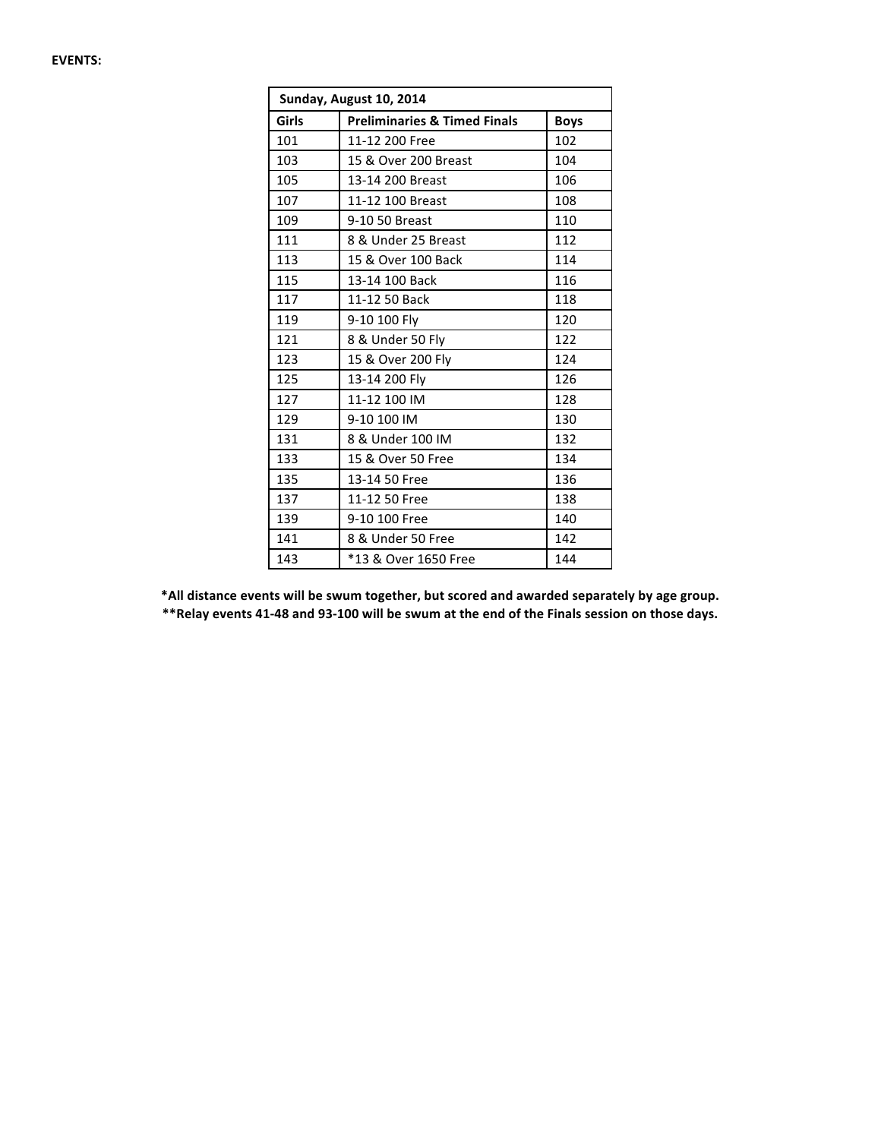| Sunday, August 10, 2014 |                                         |             |  |  |  |  |  |  |  |
|-------------------------|-----------------------------------------|-------------|--|--|--|--|--|--|--|
| Girls                   | <b>Preliminaries &amp; Timed Finals</b> | <b>Boys</b> |  |  |  |  |  |  |  |
| 101                     | 11-12 200 Free                          | 102         |  |  |  |  |  |  |  |
| 103                     | 15 & Over 200 Breast                    | 104         |  |  |  |  |  |  |  |
| 105                     | 13-14 200 Breast                        | 106         |  |  |  |  |  |  |  |
| 107                     | 11-12 100 Breast                        | 108         |  |  |  |  |  |  |  |
| 109                     | 9-10 50 Breast                          | 110         |  |  |  |  |  |  |  |
| 111                     | 8 & Under 25 Breast                     | 112         |  |  |  |  |  |  |  |
| 113                     | 15 & Over 100 Back                      | 114         |  |  |  |  |  |  |  |
| 115                     | 13-14 100 Back                          | 116         |  |  |  |  |  |  |  |
| 117                     | 11-12 50 Back                           | 118         |  |  |  |  |  |  |  |
| 119                     | 9-10 100 Fly                            | 120         |  |  |  |  |  |  |  |
| 121                     | 8 & Under 50 Fly                        | 122         |  |  |  |  |  |  |  |
| 123                     | 15 & Over 200 Fly                       | 124         |  |  |  |  |  |  |  |
| 125                     | 13-14 200 Fly                           | 126         |  |  |  |  |  |  |  |
| 127                     | 11-12 100 IM                            | 128         |  |  |  |  |  |  |  |
| 129                     | 9-10 100 IM                             | 130         |  |  |  |  |  |  |  |
| 131                     | 8 & Under 100 IM                        | 132         |  |  |  |  |  |  |  |
| 133                     | 15 & Over 50 Free                       | 134         |  |  |  |  |  |  |  |
| 135                     | 13-14 50 Free                           | 136         |  |  |  |  |  |  |  |
| 137                     | 11-12 50 Free                           | 138         |  |  |  |  |  |  |  |
| 139                     | 9-10 100 Free                           | 140         |  |  |  |  |  |  |  |
| 141                     | 8 & Under 50 Free                       | 142         |  |  |  |  |  |  |  |
| 143                     | *13 & Over 1650 Free                    | 144         |  |  |  |  |  |  |  |

\*All distance events will be swum together, but scored and awarded separately by age group. \*\*Relay events 41-48 and 93-100 will be swum at the end of the Finals session on those days.